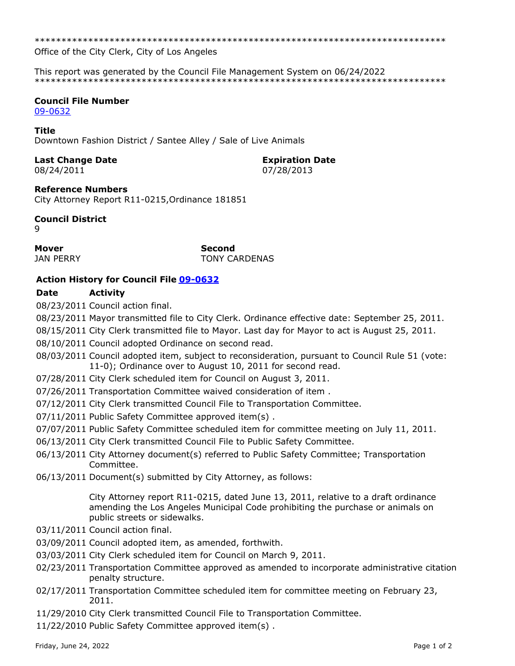\*\*\*\*\*\*\*\*\*\*\*\*\*\*\*\*\*\*\*\*\*\*\*\*\*\*\*\*\*\*\*\*\*\*\*\*\*\*\*\*\*\*\*\*\*\*\*\*\*\*\*\*\*\*\*\*\*\*\*\*\*\*\*\*\*\*\*\*\*\*\*\*\*\*\*\*\*

Office of the City Clerk, City of Los Angeles

This report was generated by the Council File Management System on 06/24/2022 \*\*\*\*\*\*\*\*\*\*\*\*\*\*\*\*\*\*\*\*\*\*\*\*\*\*\*\*\*\*\*\*\*\*\*\*\*\*\*\*\*\*\*\*\*\*\*\*\*\*\*\*\*\*\*\*\*\*\*\*\*\*\*\*\*\*\*\*\*\*\*\*\*\*\*\*\*

# **Council File Number**

[09-0632](https://cityclerk.lacity.org/lacityclerkconnect/index.cfm?fa=ccfi.viewrecord&cfnumber=09-0632)

#### **Title**

Downtown Fashion District / Santee Alley / Sale of Live Animals

# **Last Change Date Expiration Date**

08/24/2011 07/28/2013

### **Reference Numbers**

City Attorney Report R11-0215,Ordinance 181851

# **Council District**

9

# **Mover Second**

JAN PERRY **TONY CARDENAS** 

# **Action History for Council File [09-0632](https://cityclerk.lacity.org/lacityclerkconnect/index.cfm?fa=ccfi.viewrecord&cfnumber=09-0632)**

### **Date Activity**

08/23/2011 Council action final.

- 08/23/2011 Mayor transmitted file to City Clerk. Ordinance effective date: September 25, 2011.
- 08/15/2011 City Clerk transmitted file to Mayor. Last day for Mayor to act is August 25, 2011.
- 08/10/2011 Council adopted Ordinance on second read.
- 08/03/2011 Council adopted item, subject to reconsideration, pursuant to Council Rule 51 (vote: 11-0); Ordinance over to August 10, 2011 for second read.
- 07/28/2011 City Clerk scheduled item for Council on August 3, 2011.
- 07/26/2011 Transportation Committee waived consideration of item .
- 07/12/2011 City Clerk transmitted Council File to Transportation Committee.
- 07/11/2011 Public Safety Committee approved item(s) .
- 07/07/2011 Public Safety Committee scheduled item for committee meeting on July 11, 2011.
- 06/13/2011 City Clerk transmitted Council File to Public Safety Committee.
- 06/13/2011 City Attorney document(s) referred to Public Safety Committee; Transportation Committee.
- 06/13/2011 Document(s) submitted by City Attorney, as follows:

City Attorney report R11-0215, dated June 13, 2011, relative to a draft ordinance amending the Los Angeles Municipal Code prohibiting the purchase or animals on public streets or sidewalks.

- 03/11/2011 Council action final.
- 03/09/2011 Council adopted item, as amended, forthwith.
- 03/03/2011 City Clerk scheduled item for Council on March 9, 2011.
- 02/23/2011 Transportation Committee approved as amended to incorporate administrative citation penalty structure.
- 02/17/2011 Transportation Committee scheduled item for committee meeting on February 23, 2011.
- 11/29/2010 City Clerk transmitted Council File to Transportation Committee.
- 11/22/2010 Public Safety Committee approved item(s) .